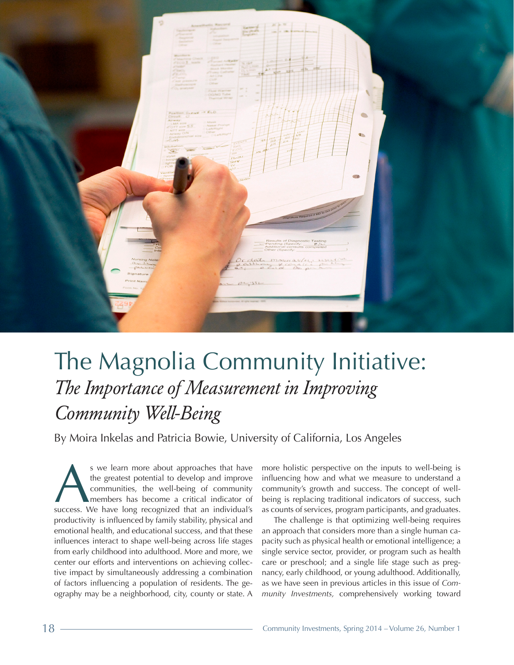

# The Magnolia Community Initiative: *The Importance of Measurement in Improving Community Well-Being*

By Moira Inkelas and Patricia Bowie, University of California, Los Angeles

s we learn more about approaches that have the greatest potential to develop and improve communities, the well-being of community members has become a critical indicator of success. We have long recognized that an individu the greatest potential to develop and improve communities, the well-being of community members has become a critical indicator of productivity is influenced by family stability, physical and emotional health, and educational success, and that these influences interact to shape well-being across life stages from early childhood into adulthood. More and more, we center our efforts and interventions on achieving collective impact by simultaneously addressing a combination of factors influencing a population of residents. The geography may be a neighborhood, city, county or state. A

more holistic perspective on the inputs to well-being is influencing how and what we measure to understand a community's growth and success. The concept of wellbeing is replacing traditional indicators of success, such as counts of services, program participants, and graduates.

The challenge is that optimizing well-being requires an approach that considers more than a single human capacity such as physical health or emotional intelligence; a single service sector, provider, or program such as health care or preschool; and a single life stage such as pregnancy, early childhood, or young adulthood. Additionally, as we have seen in previous articles in this issue of *Community Investments,* comprehensively working toward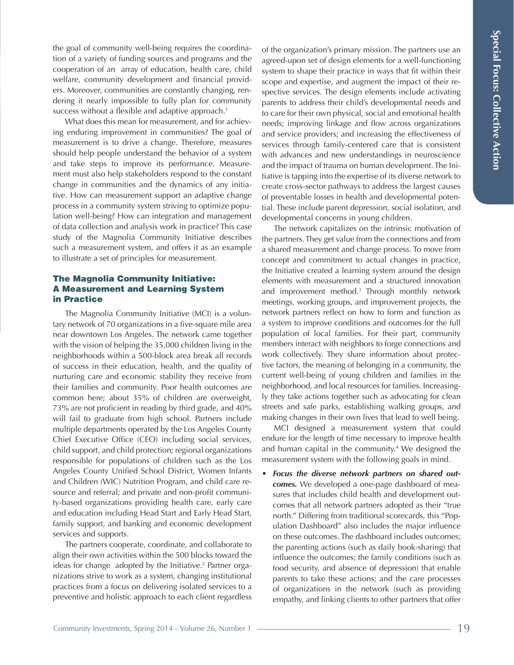the goal of community well-being requires the coordination of a variety of funding sources and programs and the cooperation of an array of education, health care, child welfare, community development and financial providers. Moreover, communities are constantly changing, rendering it nearly impossible to fully plan for community success without a flexible and adaptive approach.<sup>1</sup>

What does this mean for measurement, and for achieving enduring improvement in communities? The goal of measurement is to drive a change. Therefore, measures should help people understand the behavior of a system and take steps to improve its performance. Measurement must also help stakeholders respond to the constant change in communities and the dynamics of any initiative. How can measurement support an adaptive change process in a community system striving to optimize population well-being? How can integration and management of data collection and analysis work in practice? This case study of the Magnolia Community Initiative describes such a measurement system, and offers it as an example to illustrate a set of principles for measurement.

## The Magnolia Community Initiative: A Measurement and Learning System in Practice

The Magnolia Community Initiative (MCI) is a voluntary network of 70 organizations in a five-square mile area near downtown Los Angeles. The network came together with the vision of helping the 35,000 children living in the neighborhoods within a 500-block area break all records of success in their education, health, and the quality of nurturing care and economic stability they receive from their families and community. Poor health outcomes are common here; about 35% of children are overweight, 73% are not proficient in reading by third grade, and 40% will fail to graduate from high school. Partners include multiple departments operated by the Los Angeles County Chief Executive Office (CEO) including social services, child support, and child protection; regional organizations responsible for populations of children such as the Los Angeles County Unified School District, Women Infants and Children (WIC) Nutrition Program, and child care resource and referral; and private and non-profit community-based organizations providing health care, early care and education including Head Start and Early Head Start, family support, and banking and economic development services and supports.

The partners cooperate, coordinate, and collaborate to align their own activities within the 500 blocks toward the ideas for change adopted by the Initiative.<sup>2</sup> Partner organizations strive to work as a system, changing institutional practices from a focus on delivering isolated services to a preventive and holistic approach to each client regardless of the organization's primary mission. The partners use an agreed-upon set of design elements for a well-functioning system to shape their practice in ways that fit within their scope and expertise, and augment the impact of their respective services. The design elements include activating parents to address their child's developmental needs and to care for their own physical, social and emotional health needs; improving linkage and flow across organizations and service providers; and increasing the effectiveness of services through family-centered care that is consistent with advances and new understandings in neuroscience and the impact of trauma on human development. The Initiative is tapping into the expertise of its diverse network to create cross-sector pathways to address the largest causes of preventable losses in health and developmental potential. These include parent depression, social isolation, and developmental concerns in young children.

The network capitalizes on the intrinsic motivation of the partners. They get value from the connections and from a shared measurement and change process. To move from concept and commitment to actual changes in practice, the Initiative created a learning system around the design elements with measurement and a structured innovation and improvement method.3 Through monthly network meetings, working groups, and improvement projects, the network partners reflect on how to form and function as a system to improve conditions and outcomes for the full population of local families. For their part, community members interact with neighbors to forge connections and work collectively. They share information about protective factors, the meaning of belonging in a community, the current well-being of young children and families in the neighborhood, and local resources for families. Increasingly they take actions together such as advocating for clean streets and safe parks, establishing walking groups, and making changes in their own lives that lead to well being.

MCI designed a measurement system that could endure for the length of time necessary to improve health and human capital in the community.4 We designed the measurement system with the following goals in mind.

• *Focus the diverse network partners on shared outcomes.* We developed a one-page dashboard of measures that includes child health and development outcomes that all network partners adopted as their "true north." Differing from traditional scorecards, this "Population Dashboard" also includes the major influence on these outcomes. The dashboard includes outcomes; the parenting actions (such as daily book-sharing) that influence the outcomes; the family conditions (such as food security, and absence of depression) that enable parents to take these actions; and the care processes of organizations in the network (such as providing empathy, and linking clients to other partners that offer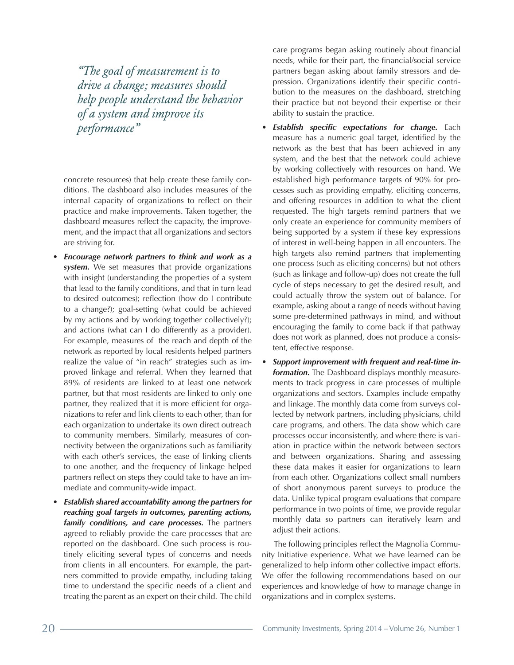*"The goal of measurement is to drive a change; measures should help people understand the behavior of a system and improve its performance"*

concrete resources) that help create these family conditions. The dashboard also includes measures of the internal capacity of organizations to reflect on their practice and make improvements. Taken together, the dashboard measures reflect the capacity, the improvement, and the impact that all organizations and sectors are striving for.

- *Encourage network partners to think and work as a system.* We set measures that provide organizations with insight (understanding the properties of a system that lead to the family conditions, and that in turn lead to desired outcomes); reflection (how do I contribute to a change?); goal-setting (what could be achieved by my actions and by working together collectively?); and actions (what can I do differently as a provider). For example, measures of the reach and depth of the network as reported by local residents helped partners realize the value of "in reach" strategies such as improved linkage and referral. When they learned that 89% of residents are linked to at least one network partner, but that most residents are linked to only one partner, they realized that it is more efficient for organizations to refer and link clients to each other, than for each organization to undertake its own direct outreach to community members. Similarly, measures of connectivity between the organizations such as familiarity with each other's services, the ease of linking clients to one another, and the frequency of linkage helped partners reflect on steps they could take to have an immediate and community-wide impact.
- *Establish shared accountability among the partners for reaching goal targets in outcomes, parenting actions, family conditions, and care processes.* The partners agreed to reliably provide the care processes that are reported on the dashboard. One such process is routinely eliciting several types of concerns and needs from clients in all encounters. For example, the partners committed to provide empathy, including taking time to understand the specific needs of a client and treating the parent as an expert on their child. The child

care programs began asking routinely about financial needs, while for their part, the financial/social service partners began asking about family stressors and depression. Organizations identify their specific contribution to the measures on the dashboard, stretching their practice but not beyond their expertise or their ability to sustain the practice.

- *Establish specific expectations for change.* Each measure has a numeric goal target, identified by the network as the best that has been achieved in any system, and the best that the network could achieve by working collectively with resources on hand. We established high performance targets of 90% for processes such as providing empathy, eliciting concerns, and offering resources in addition to what the client requested. The high targets remind partners that we only create an experience for community members of being supported by a system if these key expressions of interest in well-being happen in all encounters. The high targets also remind partners that implementing one process (such as eliciting concerns) but not others (such as linkage and follow-up) does not create the full cycle of steps necessary to get the desired result, and could actually throw the system out of balance. For example, asking about a range of needs without having some pre-determined pathways in mind, and without encouraging the family to come back if that pathway does not work as planned, does not produce a consistent, effective response.
- *Support improvement with frequent and real-time information.* The Dashboard displays monthly measurements to track progress in care processes of multiple organizations and sectors. Examples include empathy and linkage. The monthly data come from surveys collected by network partners, including physicians, child care programs, and others. The data show which care processes occur inconsistently, and where there is variation in practice within the network between sectors and between organizations. Sharing and assessing these data makes it easier for organizations to learn from each other. Organizations collect small numbers of short anonymous parent surveys to produce the data. Unlike typical program evaluations that compare performance in two points of time, we provide regular monthly data so partners can iteratively learn and adjust their actions.

The following principles reflect the Magnolia Community Initiative experience. What we have learned can be generalized to help inform other collective impact efforts. We offer the following recommendations based on our experiences and knowledge of how to manage change in organizations and in complex systems.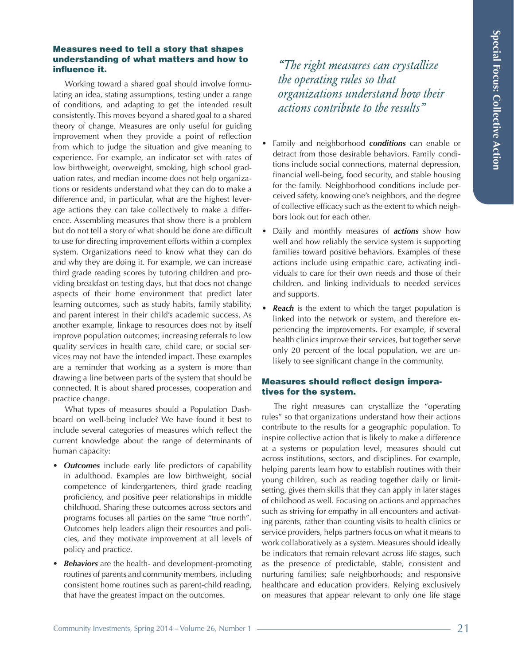### Measures need to tell a story that shapes understanding of what matters and how to influence it.

Working toward a shared goal should involve formulating an idea, stating assumptions, testing under a range of conditions, and adapting to get the intended result consistently. This moves beyond a shared goal to a shared theory of change. Measures are only useful for guiding improvement when they provide a point of reflection from which to judge the situation and give meaning to experience. For example, an indicator set with rates of low birthweight, overweight, smoking, high school graduation rates, and median income does not help organizations or residents understand what they can do to make a difference and, in particular, what are the highest leverage actions they can take collectively to make a difference. Assembling measures that show there is a problem but do not tell a story of what should be done are difficult to use for directing improvement efforts within a complex system. Organizations need to know what they can do and why they are doing it. For example, we can increase third grade reading scores by tutoring children and providing breakfast on testing days, but that does not change aspects of their home environment that predict later learning outcomes, such as study habits, family stability, and parent interest in their child's academic success. As another example, linkage to resources does not by itself improve population outcomes; increasing referrals to low quality services in health care, child care, or social services may not have the intended impact. These examples are a reminder that working as a system is more than drawing a line between parts of the system that should be connected. It is about shared processes, cooperation and practice change.

What types of measures should a Population Dashboard on well-being include? We have found it best to include several categories of measures which reflect the current knowledge about the range of determinants of human capacity:

- *Outcomes* include early life predictors of capability in adulthood. Examples are low birthweight, social competence of kindergarteners, third grade reading proficiency, and positive peer relationships in middle childhood. Sharing these outcomes across sectors and programs focuses all parties on the same "true north". Outcomes help leaders align their resources and policies, and they motivate improvement at all levels of policy and practice.
- *Behaviors* are the health- and development-promoting routines of parents and community members, including consistent home routines such as parent-child reading, that have the greatest impact on the outcomes.

*"The right measures can crystallize the operating rules so that organizations understand how their actions contribute to the results"*

- Family and neighborhood *conditions* can enable or detract from those desirable behaviors. Family conditions include social connections, maternal depression, financial well-being, food security, and stable housing for the family. Neighborhood conditions include perceived safety, knowing one's neighbors, and the degree of collective efficacy such as the extent to which neighbors look out for each other.
- Daily and monthly measures of *actions* show how well and how reliably the service system is supporting families toward positive behaviors. Examples of these actions include using empathic care, activating individuals to care for their own needs and those of their children, and linking individuals to needed services and supports.
- **Reach** is the extent to which the target population is linked into the network or system, and therefore experiencing the improvements. For example, if several health clinics improve their services, but together serve only 20 percent of the local population, we are unlikely to see significant change in the community.

# Measures should reflect design imperatives for the system.

The right measures can crystallize the "operating rules" so that organizations understand how their actions contribute to the results for a geographic population. To inspire collective action that is likely to make a difference at a systems or population level, measures should cut across institutions, sectors, and disciplines. For example, helping parents learn how to establish routines with their young children, such as reading together daily or limitsetting, gives them skills that they can apply in later stages of childhood as well. Focusing on actions and approaches such as striving for empathy in all encounters and activating parents, rather than counting visits to health clinics or service providers, helps partners focus on what it means to work collaboratively as a system. Measures should ideally be indicators that remain relevant across life stages, such as the presence of predictable, stable, consistent and nurturing families; safe neighborhoods; and responsive healthcare and education providers. Relying exclusively on measures that appear relevant to only one life stage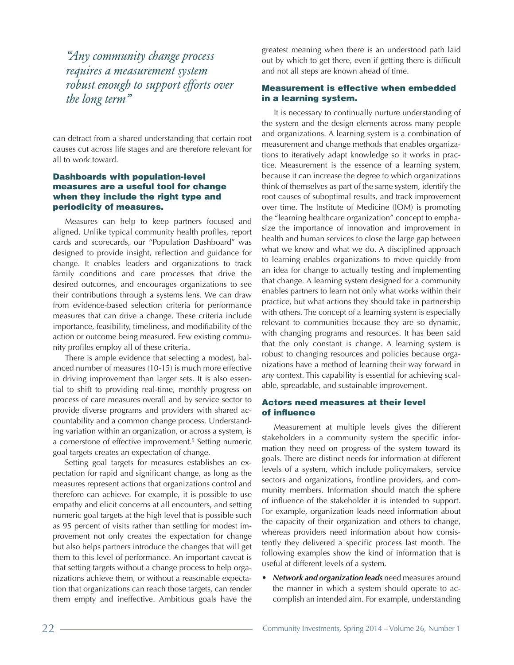*"Any community change process requires a measurement system robust enough to support efforts over the long term"*

can detract from a shared understanding that certain root causes cut across life stages and are therefore relevant for all to work toward.

#### Dashboards with population-level measures are a useful tool for change when they include the right type and periodicity of measures.

Measures can help to keep partners focused and aligned. Unlike typical community health profiles, report cards and scorecards, our "Population Dashboard" was designed to provide insight, reflection and guidance for change. It enables leaders and organizations to track family conditions and care processes that drive the desired outcomes, and encourages organizations to see their contributions through a systems lens. We can draw from evidence-based selection criteria for performance measures that can drive a change. These criteria include importance, feasibility, timeliness, and modifiability of the action or outcome being measured. Few existing community profiles employ all of these criteria.

There is ample evidence that selecting a modest, balanced number of measures (10-15) is much more effective in driving improvement than larger sets. It is also essential to shift to providing real-time, monthly progress on process of care measures overall and by service sector to provide diverse programs and providers with shared accountability and a common change process. Understanding variation within an organization, or across a system, is a cornerstone of effective improvement.<sup>5</sup> Setting numeric goal targets creates an expectation of change.

Setting goal targets for measures establishes an expectation for rapid and significant change, as long as the measures represent actions that organizations control and therefore can achieve. For example, it is possible to use empathy and elicit concerns at all encounters, and setting numeric goal targets at the high level that is possible such as 95 percent of visits rather than settling for modest improvement not only creates the expectation for change but also helps partners introduce the changes that will get them to this level of performance. An important caveat is that setting targets without a change process to help organizations achieve them, or without a reasonable expectation that organizations can reach those targets, can render them empty and ineffective. Ambitious goals have the

greatest meaning when there is an understood path laid out by which to get there, even if getting there is difficult and not all steps are known ahead of time.

# Measurement is effective when embedded in a learning system.

It is necessary to continually nurture understanding of the system and the design elements across many people and organizations. A learning system is a combination of measurement and change methods that enables organizations to iteratively adapt knowledge so it works in practice. Measurement is the essence of a learning system, because it can increase the degree to which organizations think of themselves as part of the same system, identify the root causes of suboptimal results, and track improvement over time. The Institute of Medicine (IOM) is promoting the "learning healthcare organization" concept to emphasize the importance of innovation and improvement in health and human services to close the large gap between what we know and what we do. A disciplined approach to learning enables organizations to move quickly from an idea for change to actually testing and implementing that change. A learning system designed for a community enables partners to learn not only what works within their practice, but what actions they should take in partnership with others. The concept of a learning system is especially relevant to communities because they are so dynamic, with changing programs and resources. It has been said that the only constant is change. A learning system is robust to changing resources and policies because organizations have a method of learning their way forward in any context. This capability is essential for achieving scalable, spreadable, and sustainable improvement.

#### Actors need measures at their level of influence

Measurement at multiple levels gives the different stakeholders in a community system the specific information they need on progress of the system toward its goals. There are distinct needs for information at different levels of a system, which include policymakers, service sectors and organizations, frontline providers, and community members. Information should match the sphere of influence of the stakeholder it is intended to support. For example, organization leads need information about the capacity of their organization and others to change, whereas providers need information about how consistently they delivered a specific process last month. The following examples show the kind of information that is useful at different levels of a system.

• *Network and organization leads* need measures around the manner in which a system should operate to accomplish an intended aim. For example, understanding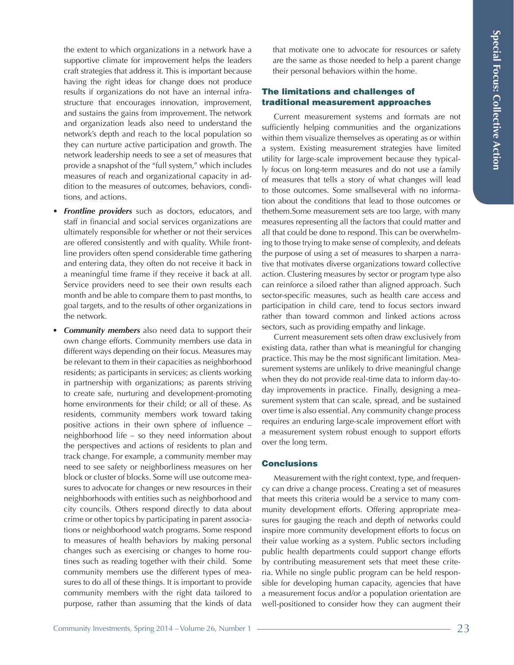the extent to which organizations in a network have a supportive climate for improvement helps the leaders craft strategies that address it. This is important because having the right ideas for change does not produce results if organizations do not have an internal infrastructure that encourages innovation, improvement, and sustains the gains from improvement. The network and organization leads also need to understand the network's depth and reach to the local population so they can nurture active participation and growth. The network leadership needs to see a set of measures that provide a snapshot of the "full system," which includes measures of reach and organizational capacity in addition to the measures of outcomes, behaviors, conditions, and actions.

- *Frontline providers* such as doctors, educators, and staff in financial and social services organizations are ultimately responsible for whether or not their services are offered consistently and with quality. While frontline providers often spend considerable time gathering and entering data, they often do not receive it back in a meaningful time frame if they receive it back at all. Service providers need to see their own results each month and be able to compare them to past months, to goal targets, and to the results of other organizations in the network.
- *• Community members* also need data to support their own change efforts. Community members use data in different ways depending on their focus. Measures may be relevant to them in their capacities as neighborhood residents; as participants in services; as clients working in partnership with organizations; as parents striving to create safe, nurturing and development-promoting home environments for their child; or all of these. As residents, community members work toward taking positive actions in their own sphere of influence – neighborhood life – so they need information about the perspectives and actions of residents to plan and track change. For example, a community member may need to see safety or neighborliness measures on her block or cluster of blocks. Some will use outcome measures to advocate for changes or new resources in their neighborhoods with entities such as neighborhood and city councils. Others respond directly to data about crime or other topics by participating in parent associations or neighborhood watch programs. Some respond to measures of health behaviors by making personal changes such as exercising or changes to home routines such as reading together with their child. Some community members use the different types of measures to do all of these things. It is important to provide community members with the right data tailored to purpose, rather than assuming that the kinds of data

that motivate one to advocate for resources or safety are the same as those needed to help a parent change their personal behaviors within the home.

## The limitations and challenges of traditional measurement approaches

Current measurement systems and formats are not sufficiently helping communities and the organizations within them visualize themselves as operating as or within a system. Existing measurement strategies have limited utility for large-scale improvement because they typically focus on long-term measures and do not use a family of measures that tells a story of what changes will lead to those outcomes. Some smallseveral with no information about the conditions that lead to those outcomes or thethem.Some measurement sets are too large, with many measures representing all the factors that could matter and all that could be done to respond. This can be overwhelming to those trying to make sense of complexity, and defeats the purpose of using a set of measures to sharpen a narrative that motivates diverse organizations toward collective action. Clustering measures by sector or program type also can reinforce a siloed rather than aligned approach. Such sector-specific measures, such as health care access and participation in child care, tend to focus sectors inward rather than toward common and linked actions across sectors, such as providing empathy and linkage.

Current measurement sets often draw exclusively from existing data, rather than what is meaningful for changing practice. This may be the most significant limitation. Measurement systems are unlikely to drive meaningful change when they do not provide real-time data to inform day-today improvements in practice. Finally, designing a measurement system that can scale, spread, and be sustained over time is also essential. Any community change process requires an enduring large-scale improvement effort with a measurement system robust enough to support efforts over the long term.

### **Conclusions**

Measurement with the right context, type, and frequency can drive a change process. Creating a set of measures that meets this criteria would be a service to many community development efforts. Offering appropriate measures for gauging the reach and depth of networks could inspire more community development efforts to focus on their value working as a system. Public sectors including public health departments could support change efforts by contributing measurement sets that meet these criteria. While no single public program can be held responsible for developing human capacity, agencies that have a measurement focus and/or a population orientation are well-positioned to consider how they can augment their